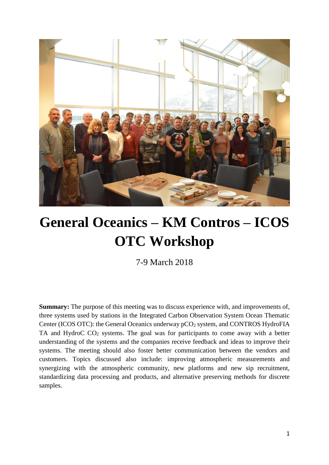

# **General Oceanics – KM Contros – ICOS OTC Workshop**

7-9 March 2018

**Summary:** The purpose of this meeting was to discuss experience with, and improvements of, three systems used by stations in the Integrated Carbon Observation System Ocean Thematic Center (ICOS OTC): the General Oceanics underway pCO<sub>2</sub> system, and CONTROS HydroFIA TA and HydroC CO<sup>2</sup> systems. The goal was for participants to come away with a better understanding of the systems and the companies receive feedback and ideas to improve their systems. The meeting should also foster better communication between the vendors and customers. Topics discussed also include: improving atmospheric measurements and synergizing with the atmospheric community, new platforms and new sip recruitment, standardizing data processing and products, and alternative preserving methods for discrete samples.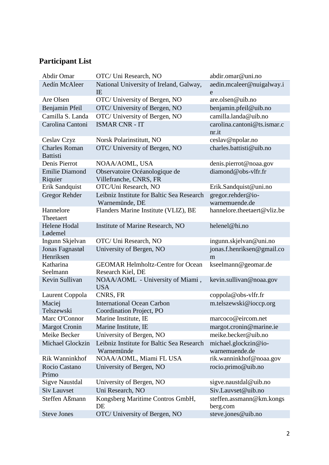# **Participant List**

| <b>Abdir Omar</b>                       | OTC/ Uni Research, NO                                         | abdir.omar@uni.no                      |
|-----------------------------------------|---------------------------------------------------------------|----------------------------------------|
| Aedín McAleer                           | National University of Ireland, Galway,<br>IE                 | aedin.mcaleer@nuigalway.i<br>e         |
| Are Olsen                               | OTC/ University of Bergen, NO                                 | are.olsen@uib.no                       |
| Benjamin Pfeil                          | OTC/ University of Bergen, NO                                 | benjamin.pfeil@uib.no                  |
| Camilla S. Landa                        | OTC/ University of Bergen, NO                                 | camilla.landa@uib.no                   |
| Carolina Cantoni                        | <b>ISMAR CNR - IT</b>                                         | carolina.cantoni@ts.ismar.c<br>nr.it   |
| Ceslav Czyz                             | Norsk Polarinstitutt, NO                                      | ceslav@npolar.no                       |
| <b>Charles Roman</b><br><b>Battisti</b> | OTC/ University of Bergen, NO                                 | charles.battisti@uib.no                |
| Denis Pierrot                           | NOAA/AOML, USA                                                | denis.pierrot@noaa.gov                 |
| <b>Emilie Diamond</b><br>Riquier        | Observatoire Océanologique de<br>Villefranche, CNRS, FR       | diamond@obs-vlfr.fr                    |
| Erik Sandquist                          | OTC/Uni Research, NO                                          | Erik.Sandquist@uni.no                  |
| <b>Gregor Rehder</b>                    | Leibniz Institute for Baltic Sea Research<br>Warnemünde, DE   | gregor.rehder@io-<br>warnemuende.de    |
| Hannelore<br>Theetaert                  | Flanders Marine Institute (VLIZ), BE                          | hannelore.theetaert@vliz.be            |
| <b>Helene Hodal</b><br>Lødemel          | Institute of Marine Research, NO                              | helenel@hi.no                          |
| Ingunn Skjelvan                         | OTC/ Uni Research, NO                                         | ingunn.skjelvan@uni.no                 |
| Jonas Fagnastøl<br>Henriksen            | University of Bergen, NO                                      | jonas.f.henriksen@gmail.co<br>m        |
| Katharina<br>Seelmann                   | <b>GEOMAR Helmholtz-Centre for Ocean</b><br>Research Kiel, DE | kseelmann@geomar.de                    |
| Kevin Sullivan                          | NOAA/AOML - University of Miami,<br><b>USA</b>                | kevin.sullivan@noaa.gov                |
| Laurent Coppola                         | CNRS, FR                                                      | coppola@obs-vlfr.fr                    |
| Maciej<br>Telszewski                    | <b>International Ocean Carbon</b><br>Coordination Project, PO | m.telszewski@ioccp.org                 |
| Marc O'Connor                           | Marine Institute, IE                                          | marcoco@eircom.net                     |
| <b>Margot Cronin</b>                    | Marine Institute, IE                                          | margot.cronin@marine.ie                |
| Meike Becker                            | University of Bergen, NO                                      | meike.becker@uib.no                    |
| <b>Michael Glockzin</b>                 | Leibniz Institute for Baltic Sea Research<br>Warnemünde       | michael.glockzin@io-<br>warnemuende.de |
| Rik Wanninkhof                          | NOAA/AOML, Miami FL USA                                       | rik.wanninkhof@noaa.gov                |
| Rocio Castano<br>Primo                  | University of Bergen, NO                                      | rocio.primo@uib.no                     |
| <b>Sigve Naustdal</b>                   | University of Bergen, NO                                      | sigve.naustdal@uib.no                  |
| <b>Siv Lauvset</b>                      | Uni Research, NO                                              | Siv.Lauvset@uib.no                     |
| Steffen Aßmann                          | Kongsberg Maritime Contros GmbH,<br>DE                        | steffen.assmann@km.kongs<br>berg.com   |
| <b>Steve Jones</b>                      | OTC/ University of Bergen, NO                                 | steve.jones@uib.no                     |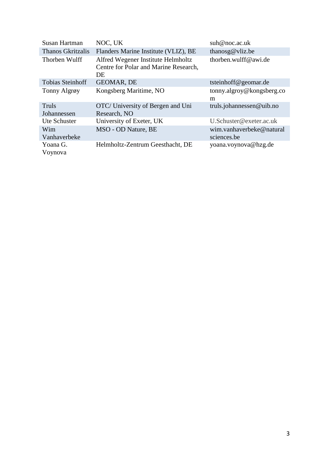| Susan Hartman            | NOC, UK                                                                           | sub@noc.ac.uk             |
|--------------------------|-----------------------------------------------------------------------------------|---------------------------|
| <b>Thanos Gkritzalis</b> | Flanders Marine Institute (VLIZ), BE                                              | thanosg@vliz.be           |
| Thorben Wulff            | Alfred Wegener Institute Helmholtz<br>Centre for Polar and Marine Research,<br>DE | thorben.wulff@awi.de      |
| <b>Tobias Steinhoff</b>  | GEOMAR, DE                                                                        | tsteinhoff@geomar.de      |
| Tonny Algrøy             | Kongsberg Maritime, NO                                                            | tonny.algroy@kongsberg.co |
|                          |                                                                                   | m                         |
| Truls                    | OTC/ University of Bergen and Uni                                                 | truls.johannessen@uib.no  |
| Johannessen              | Research, NO                                                                      |                           |
| Ute Schuster             | University of Exeter, UK                                                          | U.Schuster@exeter.ac.uk   |
| Wim                      | MSO - OD Nature, BE                                                               | wim.vanhaverbeke@natural  |
| Vanhaverbeke             |                                                                                   | sciences.be               |
| Yoana G.                 | Helmholtz-Zentrum Geesthacht, DE                                                  | yoana.voynova@hzg.de      |
| Voynova                  |                                                                                   |                           |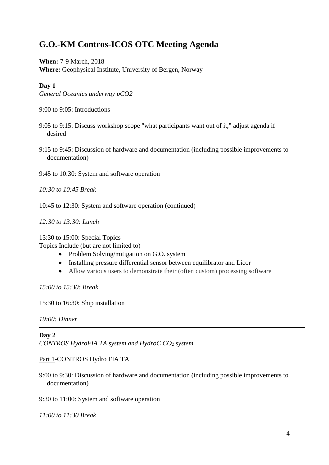## **G.O.-KM Contros-ICOS OTC Meeting Agenda**

**When:** 7-9 March, 2018 **Where:** Geophysical Institute, University of Bergen, Norway

#### **Day 1**

*General Oceanics underway pCO2*

9:00 to 9:05: Introductions

- 9:05 to 9:15: Discuss workshop scope "what participants want out of it," adjust agenda if desired
- 9:15 to 9:45: Discussion of hardware and documentation (including possible improvements to documentation)

9:45 to 10:30: System and software operation

*10:30 to 10:45 Break*

10:45 to 12:30: System and software operation (continued)

*12:30 to 13:30: Lunch*

13:30 to 15:00: Special Topics

Topics Include (but are not limited to)

- Problem Solving/mitigation on G.O. system
- Installing pressure differential sensor between equilibrator and Licor
- Allow various users to demonstrate their (often custom) processing software

*15:00 to 15:30: Break*

15:30 to 16:30: Ship installation

*19:00: Dinner*

**Day 2**

*CONTROS HydroFIA TA system and HydroC CO<sup>2</sup> system*

Part 1-CONTROS Hydro FIA TA

9:00 to 9:30: Discussion of hardware and documentation (including possible improvements to documentation)

9:30 to 11:00: System and software operation

*11:00 to 11:30 Break*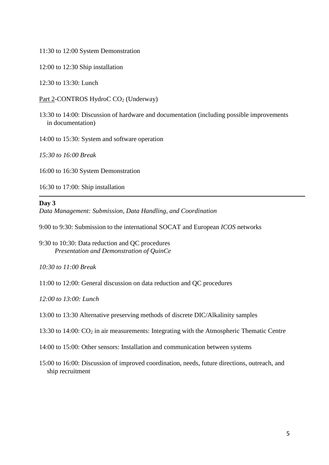11:30 to 12:00 System Demonstration

12:00 to 12:30 Ship installation

12:30 to 13:30: Lunch

Part 2-CONTROS HydroC CO<sub>2</sub> (Underway)

13:30 to 14:00: Discussion of hardware and documentation (including possible improvements in documentation)

14:00 to 15:30: System and software operation

*15:30 to 16:00 Break*

16:00 to 16:30 System Demonstration

16:30 to 17:00: Ship installation

#### **Day 3**

*Data Management: Submission, Data Handling, and Coordination*

9:00 to 9:30: Submission to the international SOCAT and European *ICOS* networks

9:30 to 10:30: Data reduction and QC procedures *Presentation and Demonstration of QuinCe*

*10:30 to 11:00 Break*

11:00 to 12:00: General discussion on data reduction and QC procedures

*12:00 to 13:00: Lunch*

13:00 to 13:30 Alternative preserving methods of discrete DIC/Alkalinity samples

13:30 to 14:00: CO<sup>2</sup> in air measurements: Integrating with the Atmospheric Thematic Centre

14:00 to 15:00: Other sensors: Installation and communication between systems

15:00 to 16:00: Discussion of improved coordination, needs, future directions, outreach, and ship recruitment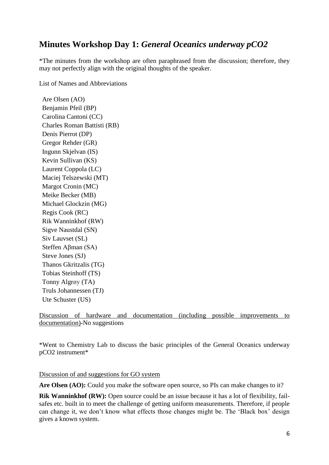## **Minutes Workshop Day 1:** *General Oceanics underway pCO2*

\*The minutes from the workshop are often paraphrased from the discussion; therefore, they may not perfectly align with the original thoughts of the speaker.

List of Names and Abbreviations

Are Olsen (AO) Benjamin Pfeil (BP) Carolina Cantoni (CC) Charles Roman Battisti (RB) Denis Pierrot (DP) Gregor Rehder (GR) Ingunn Skjelvan (IS) Kevin Sullivan (KS) Laurent Coppola (LC) Maciej Telszewski (MT) Margot Cronin (MC) Meike Becker (MB) Michael Glockzin (MG) Regis Cook (RC) Rik Wanninkhof (RW) Sigve Naustdal (SN) Siv Lauvset (SL) Steffen Aβman (SA) Steve Jones (SJ) Thanos Gkritzalis (TG) Tobias Steinhoff (TS) Tonny Algrøy (TA) Truls Johannessen (TJ) Ute Schuster (US)

Discussion of hardware and documentation (including possible improvements to documentation)-No suggestions

\*Went to Chemistry Lab to discuss the basic principles of the General Oceanics underway pCO2 instrument\*

Discussion of and suggestions for GO system

**Are Olsen (AO):** Could you make the software open source, so PIs can make changes to it?

**Rik Wanninkhof (RW):** Open source could be an issue because it has a lot of flexibility, failsafes etc. built in to meet the challenge of getting uniform measurements. Therefore, if people can change it, we don't know what effects those changes might be. The 'Black box' design gives a known system.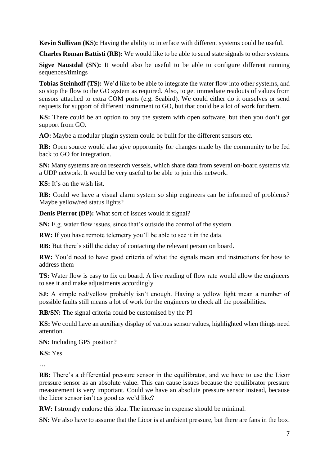**Kevin Sullivan (KS):** Having the ability to interface with different systems could be useful.

**Charles Roman Battisti (RB):** We would like to be able to send state signals to other systems.

**Sigve Naustdal (SN):** It would also be useful to be able to configure different running sequences/timings

**Tobias Steinhoff (TS):** We'd like to be able to integrate the water flow into other systems, and so stop the flow to the GO system as required. Also, to get immediate readouts of values from sensors attached to extra COM ports (e.g. Seabird). We could either do it ourselves or send requests for support of different instrument to GO, but that could be a lot of work for them.

**KS:** There could be an option to buy the system with open software, but then you don't get support from GO.

**AO:** Maybe a modular plugin system could be built for the different sensors etc.

**RB:** Open source would also give opportunity for changes made by the community to be fed back to GO for integration.

**SN:** Many systems are on research vessels, which share data from several on-board systems via a UDP network. It would be very useful to be able to join this network.

**KS:** It's on the wish list.

**RB:** Could we have a visual alarm system so ship engineers can be informed of problems? Maybe yellow/red status lights?

**Denis Pierrot (DP):** What sort of issues would it signal?

**SN:** E.g. water flow issues, since that's outside the control of the system.

**RW:** If you have remote telemetry you'll be able to see it in the data.

**RB:** But there's still the delay of contacting the relevant person on board.

**RW:** You'd need to have good criteria of what the signals mean and instructions for how to address them

**TS:** Water flow is easy to fix on board. A live reading of flow rate would allow the engineers to see it and make adjustments accordingly

**SJ:** A simple red/yellow probably isn't enough. Having a yellow light mean a number of possible faults still means a lot of work for the engineers to check all the possibilities.

**RB/SN:** The signal criteria could be customised by the PI

**KS:** We could have an auxiliary display of various sensor values, highlighted when things need attention.

**SN:** Including GPS position?

**KS:** Yes

…

**RB:** There's a differential pressure sensor in the equilibrator, and we have to use the Licor pressure sensor as an absolute value. This can cause issues because the equilibrator pressure measurement is very important. Could we have an absolute pressure sensor instead, because the Licor sensor isn't as good as we'd like?

**RW:** I strongly endorse this idea. The increase in expense should be minimal.

**SN:** We also have to assume that the Licor is at ambient pressure, but there are fans in the box.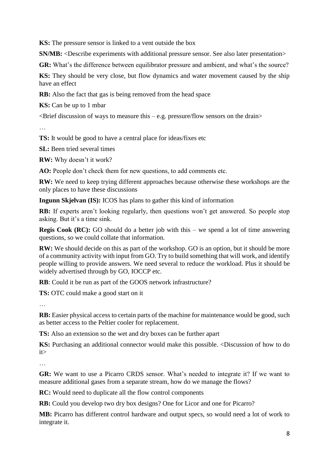**KS:** The pressure sensor is linked to a vent outside the box

**SN/MB:** <Describe experiments with additional pressure sensor. See also later presentation>

**GR:** What's the difference between equilibrator pressure and ambient, and what's the source?

**KS:** They should be very close, but flow dynamics and water movement caused by the ship have an effect

**RB:** Also the fact that gas is being removed from the head space

**KS:** Can be up to 1 mbar

 $\leq$ Brief discussion of ways to measure this – e.g. pressure/flow sensors on the drain $\geq$ 

…

**TS:** It would be good to have a central place for ideas/fixes etc

**SL:** Been tried several times

**RW:** Why doesn't it work?

**AO:** People don't check them for new questions, to add comments etc.

**RW:** We need to keep trying different approaches because otherwise these workshops are the only places to have these discussions

**Ingunn Skjelvan (IS):** ICOS has plans to gather this kind of information

**RB:** If experts aren't looking regularly, then questions won't get answered. So people stop asking. But it's a time sink.

**Regis Cook (RC):** GO should do a better job with this – we spend a lot of time answering questions, so we could collate that information.

**RW:** We should decide on this as part of the workshop. GO is an option, but it should be more of a community activity with input from GO. Try to build something that will work, and identify people willing to provide answers. We need several to reduce the workload. Plus it should be widely advertised through by GO, IOCCP etc.

**RB**: Could it be run as part of the GOOS network infrastructure?

**TS:** OTC could make a good start on it

…

**RB:** Easier physical access to certain parts of the machine for maintenance would be good, such as better access to the Peltier cooler for replacement.

**TS:** Also an extension so the wet and dry boxes can be further apart

**KS:** Purchasing an additional connector would make this possible. <Discussion of how to do it>

…

**GR:** We want to use a Picarro CRDS sensor. What's needed to integrate it? If we want to measure additional gases from a separate stream, how do we manage the flows?

**RC:** Would need to duplicate all the flow control components

**RB:** Could you develop two dry box designs? One for Licor and one for Picarro?

**MB:** Picarro has different control hardware and output specs, so would need a lot of work to integrate it.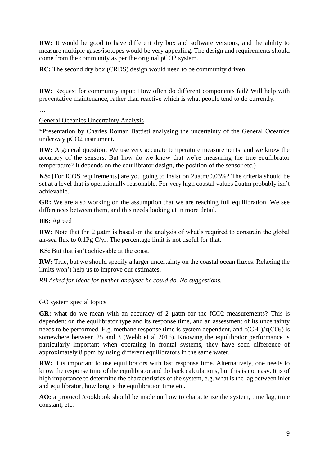**RW:** It would be good to have different dry box and software versions, and the ability to measure multiple gases/isotopes would be very appealing. The design and requirements should come from the community as per the original pCO2 system.

**RC:** The second dry box (CRDS) design would need to be community driven

…

**RW:** Request for community input: How often do different components fail? Will help with preventative maintenance, rather than reactive which is what people tend to do currently.

…

#### General Oceanics Uncertainty Analysis

\*Presentation by Charles Roman Battisti analysing the uncertainty of the General Oceanics underway pCO2 instrument.

**RW:** A general question: We use very accurate temperature measurements, and we know the accuracy of the sensors. But how do we know that we're measuring the true equilibrator temperature? It depends on the equilibrator design, the position of the sensor etc.)

**KS:** [For ICOS requirements] are you going to insist on 2uatm/0.03%? The criteria should be set at a level that is operationally reasonable. For very high coastal values 2uatm probably isn't achievable.

**GR:** We are also working on the assumption that we are reaching full equilibration. We see differences between them, and this needs looking at in more detail.

#### **RB:** Agreed

**RW:** Note that the 2 µatm is based on the analysis of what's required to constrain the global air-sea flux to 0.1Pg C/yr. The percentage limit is not useful for that.

**KS:** But that isn't achievable at the coast.

**RW:** True, but we should specify a larger uncertainty on the coastal ocean fluxes. Relaxing the limits won't help us to improve our estimates.

*RB Asked for ideas for further analyses he could do. No suggestions.*

#### GO system special topics

**GR:** what do we mean with an accuracy of 2 µatm for the fCO2 measurements? This is dependent on the equilibrator type and its response time, and an assessment of its uncertainty needs to be performed. E.g. methane response time is system dependent, and  $\tau$ (CH<sub>4</sub>)/ $\tau$ (CO<sub>2</sub>) is somewhere between 25 and 3 (Webb et al 2016). Knowing the equilibrator performance is particularly important when operating in frontal systems, they have seen difference of approximately 8 ppm by using different equilibrators in the same water.

**RW:** it is important to use equilibrators with fast response time. Alternatively, one needs to know the response time of the equilibrator and do back calculations, but this is not easy. It is of high importance to determine the characteristics of the system, e.g. what is the lag between inlet and equilibrator, how long is the equilibration time etc.

**AO:** a protocol /cookbook should be made on how to characterize the system, time lag, time constant, etc.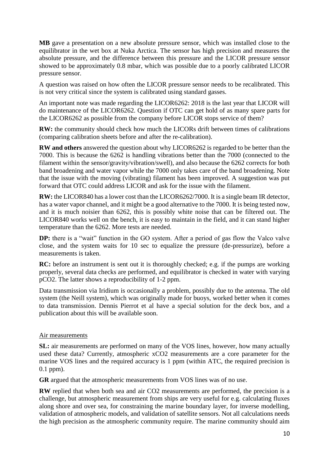**MB** gave a presentation on a new absolute pressure sensor, which was installed close to the equilibrator in the wet box at Nuka Arctica. The sensor has high precision and measures the absolute pressure, and the difference between this pressure and the LICOR pressure sensor showed to be approximately 0.8 mbar, which was possible due to a poorly calibrated LICOR pressure sensor.

A question was raised on how often the LICOR pressure sensor needs to be recalibrated. This is not very critical since the system is calibrated using standard gasses.

An important note was made regarding the LICOR6262: 2018 is the last year that LICOR will do maintenance of the LICOR6262. Question if OTC can get hold of as many spare parts for the LICOR6262 as possible from the company before LICOR stops service of them?

**RW:** the community should check how much the LICORs drift between times of calibrations (comparing calibration sheets before and after the re-calibration).

**RW and others** answered the question about why LICOR6262 is regarded to be better than the 7000. This is because the 6262 is handling vibrations better than the 7000 (connected to the filament within the sensor/gravity/vibration/swell), and also because the 6262 corrects for both band broadening and water vapor while the 7000 only takes care of the band broadening. Note that the issue with the moving (vibrating) filament has been improved. A suggestion was put forward that OTC could address LICOR and ask for the issue with the filament.

**RW:** the LICOR840 has a lower cost than the LICOR6262/7000. It is a single beam IR detector, has a water vapor channel, and it might be a good alternative to the 7000. It is being tested now, and it is much noisier than 6262, this is possibly white noise that can be filtered out. The LICOR840 works well on the bench, it is easy to maintain in the field, and it can stand higher temperature than the 6262. More tests are needed.

**DP:** there is a "wait" function in the GO system. After a period of gas flow the Valco valve close, and the system waits for 10 sec to equalize the pressure (de-pressurize), before a measurements is taken.

**RC:** before an instrument is sent out it is thoroughly checked; e.g. if the pumps are working properly, several data checks are performed, and equilibrator is checked in water with varying pCO2. The latter shows a reproducibility of 1-2 ppm.

Data transmission via Iridium is occasionally a problem, possibly due to the antenna. The old system (the Neill system), which was originally made for buoys, worked better when it comes to data transmission. Dennis Pierrot et al have a special solution for the deck box, and a publication about this will be available soon.

#### Air measurements

**SL:** air measurements are performed on many of the VOS lines, however, how many actually used these data? Currently, atmospheric xCO2 measurements are a core parameter for the marine VOS lines and the required accuracy is 1 ppm (within ATC, the required precision is 0.1 ppm).

**GR** argued that the atmospheric measurements from VOS lines was of no use.

**RW** replied that when both sea and air CO2 measurements are performed, the precision is a challenge, but atmospheric measurement from ships are very useful for e.g. calculating fluxes along shore and over sea, for constraining the marine boundary layer, for inverse modelling, validation of atmospheric models, and validation of satellite sensors. Not all calculations needs the high precision as the atmospheric community require. The marine community should aim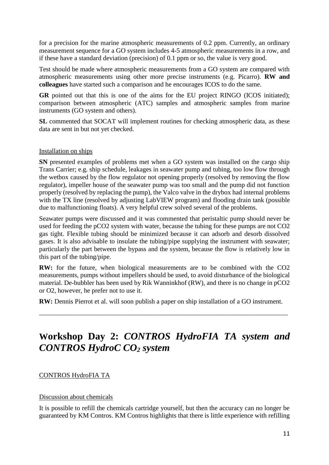for a precision for the marine atmospheric measurements of 0.2 ppm. Currently, an ordinary measurement sequence for a GO system includes 4-5 atmospheric measurements in a row, and if these have a standard deviation (precision) of 0.1 ppm or so, the value is very good.

Test should be made where atmospheric measurements from a GO system are compared with atmospheric measurements using other more precise instruments (e.g. Picarro). **RW and colleagues** have started such a comparison and he encourages ICOS to do the same.

**GR** pointed out that this is one of the aims for the EU project RINGO (ICOS initiated); comparison between atmospheric (ATC) samples and atmospheric samples from marine instruments (GO system and others).

**SL** commented that SOCAT will implement routines for checking atmospheric data, as these data are sent in but not yet checked.

#### Installation on ships

**SN** presented examples of problems met when a GO system was installed on the cargo ship Trans Carrier; e.g. ship schedule, leakages in seawater pump and tubing, too low flow through the wetbox caused by the flow regulator not opening properly (resolved by removing the flow regulator), impeller house of the seawater pump was too small and the pump did not function properly (resolved by replacing the pump), the Valco valve in the drybox had internal problems with the TX line (resolved by adjusting LabVIEW program) and flooding drain tank (possible due to malfunctioning floats). A very helpful crew solved several of the problems.

Seawater pumps were discussed and it was commented that peristaltic pump should never be used for feeding the pCO2 system with water, because the tubing for these pumps are not CO2 gas tight. Flexible tubing should be minimized because it can adsorb and desorb dissolved gases. It is also advisable to insulate the tubing/pipe supplying the instrument with seawater; particularly the part between the bypass and the system, because the flow is relatively low in this part of the tubing/pipe.

**RW:** for the future, when biological measurements are to be combined with the CO2 measurements, pumps without impellers should be used, to avoid disturbance of the biological material. De-bubbler has been used by Rik Wanninkhof (RW), and there is no change in pCO2 or O2, however, he prefer not to use it.

**RW:** Dennis Pierrot et al. will soon publish a paper on ship installation of a GO instrument.

\_\_\_\_\_\_\_\_\_\_\_\_\_\_\_\_\_\_\_\_\_\_\_\_\_\_\_\_\_\_\_\_\_\_\_\_\_\_\_\_\_\_\_\_\_\_\_\_\_\_\_\_\_\_\_\_\_\_\_\_\_\_\_\_\_\_\_\_\_\_\_\_\_\_\_

# **Workshop Day 2:** *CONTROS HydroFIA TA system and CONTROS HydroC CO<sup>2</sup> system*

#### CONTROS HydroFIA TA

#### Discussion about chemicals

It is possible to refill the chemicals cartridge yourself, but then the accuracy can no longer be guaranteed by KM Contros. KM Contros highlights that there is little experience with refilling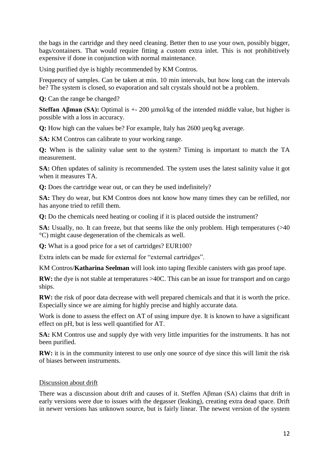the bags in the cartridge and they need cleaning. Better then to use your own, possibly bigger, bags/containers. That would require fitting a custom extra inlet. This is not prohibitively expensive if done in conjunction with normal maintenance.

Using purified dye is highly recommended by KM Contros.

Frequency of samples. Can be taken at min. 10 min intervals, but how long can the intervals be? The system is closed, so evaporation and salt crystals should not be a problem.

**Q:** Can the range be changed?

**Steffan Aβman (SA):** Optimal is +- 200 µmol/kg of the intended middle value, but higher is possible with a loss in accuracy.

**Q:** How high can the values be? For example, Italy has 2600 µeq/kg average.

**SA:** KM Contros can calibrate to your working range.

**Q:** When is the salinity value sent to the system? Timing is important to match the TA measurement.

**SA:** Often updates of salinity is recommended. The system uses the latest salinity value it got when it measures TA.

**Q:** Does the cartridge wear out, or can they be used indefinitely?

**SA:** They do wear, but KM Contros does not know how many times they can be refilled, nor has anyone tried to refill them.

**Q:** Do the chemicals need heating or cooling if it is placed outside the instrument?

**SA:** Usually, no. It can freeze, but that seems like the only problem. High temperatures (>40 °C) might cause degeneration of the chemicals as well.

**Q:** What is a good price for a set of cartridges? EUR100?

Extra inlets can be made for external for "external cartridges".

KM Contros/**Katharina Seelman** will look into taping flexible canisters with gas proof tape.

**RW:** the dye is not stable at temperatures >40C. This can be an issue for transport and on cargo ships.

**RW:** the risk of poor data decrease with well prepared chemicals and that it is worth the price. Especially since we are aiming for highly precise and highly accurate data.

Work is done to assess the effect on AT of using impure dye. It is known to have a significant effect on pH, but is less well quantified for AT.

**SA:** KM Contros use and supply dye with very little impurities for the instruments. It has not been purified.

**RW:** it is in the community interest to use only one source of dye since this will limit the risk of biases between instruments.

#### Discussion about drift

There was a discussion about drift and causes of it. Steffen Aβman (SA) claims that drift in early versions were due to issues with the degasser (leaking), creating extra dead space. Drift in newer versions has unknown source, but is fairly linear. The newest version of the system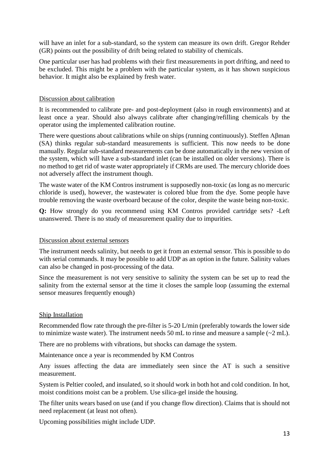will have an inlet for a sub-standard, so the system can measure its own drift. Gregor Rehder (GR) points out the possibility of drift being related to stability of chemicals.

One particular user has had problems with their first measurements in port drifting, and need to be excluded. This might be a problem with the particular system, as it has shown suspicious behavior. It might also be explained by fresh water.

#### Discussion about calibration

It is recommended to calibrate pre- and post-deployment (also in rough environments) and at least once a year. Should also always calibrate after changing/refilling chemicals by the operator using the implemented calibration routine.

There were questions about calibrations while on ships (running continuously). Steffen Aβman (SA) thinks regular sub-standard measurements is sufficient. This now needs to be done manually. Regular sub-standard measurements can be done automatically in the new version of the system, which will have a sub-standard inlet (can be installed on older versions). There is no method to get rid of waste water appropriately if CRMs are used. The mercury chloride does not adversely affect the instrument though.

The waste water of the KM Contros instrument is supposedly non-toxic (as long as no mercuric chloride is used), however, the wastewater is colored blue from the dye. Some people have trouble removing the waste overboard because of the color, despite the waste being non-toxic.

**Q:** How strongly do you recommend using KM Contros provided cartridge sets? -Left unanswered. There is no study of measurement quality due to impurities.

#### Discussion about external sensors

The instrument needs salinity, but needs to get it from an external sensor. This is possible to do with serial commands. It may be possible to add UDP as an option in the future. Salinity values can also be changed in post-processing of the data.

Since the measurement is not very sensitive to salinity the system can be set up to read the salinity from the external sensor at the time it closes the sample loop (assuming the external sensor measures frequently enough)

#### Ship Installation

Recommended flow rate through the pre-filter is 5-20 L/min (preferably towards the lower side to minimize waste water). The instrument needs 50 mL to rinse and measure a sample  $(\sim 2$  mL).

There are no problems with vibrations, but shocks can damage the system.

Maintenance once a year is recommended by KM Contros

Any issues affecting the data are immediately seen since the AT is such a sensitive measurement.

System is Peltier cooled, and insulated, so it should work in both hot and cold condition. In hot, moist conditions moist can be a problem. Use silica-gel inside the housing.

The filter units wears based on use (and if you change flow direction). Claims that is should not need replacement (at least not often).

Upcoming possibilities might include UDP.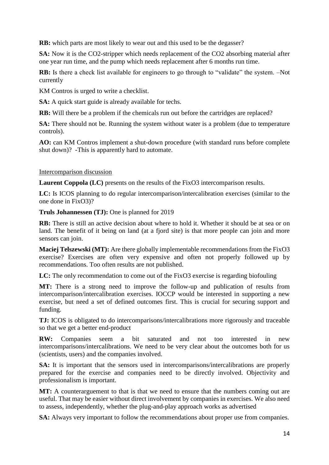**RB:** which parts are most likely to wear out and this used to be the degasser?

**SA:** Now it is the CO2-stripper which needs replacement of the CO2 absorbing material after one year run time, and the pump which needs replacement after 6 months run time.

**RB:** Is there a check list available for engineers to go through to "validate" the system.  $-Not$ currently

KM Contros is urged to write a checklist.

**SA:** A quick start guide is already available for techs.

**RB:** Will there be a problem if the chemicals run out before the cartridges are replaced?

**SA:** There should not be. Running the system without water is a problem (due to temperature controls).

**AO:** can KM Contros implement a shut-down procedure (with standard runs before complete shut down)? -This is apparently hard to automate.

#### Intercomparison discussion

**Laurent Coppola (LC)** presents on the results of the FixO3 intercomparison results.

**LC:** Is ICOS planning to do regular intercomparison/intercalibration exercises (similar to the one done in FixO3)?

**Truls Johannessen (TJ):** One is planned for 2019

**RB:** There is still an active decision about where to hold it. Whether it should be at sea or on land. The benefit of it being on land (at a fjord site) is that more people can join and more sensors can join.

**Maciej Telszewski (MT):** Are there globally implementable recommendations from the FixO3 exercise? Exercises are often very expensive and often not properly followed up by recommendations. Too often results are not published.

LC: The only recommendation to come out of the FixO3 exercise is regarding biofouling

**MT:** There is a strong need to improve the follow-up and publication of results from intercomparison/intercalibration exercises. IOCCP would be interested in supporting a new exercise, but need a set of defined outcomes first. This is crucial for securing support and funding.

**TJ:** ICOS is obligated to do intercomparisons/intercalibrations more rigorously and traceable so that we get a better end-product

**RW:** Companies seem a bit saturated and not too interested in new intercomparisons/intercalibrations. We need to be very clear about the outcomes both for us (scientists, users) and the companies involved.

**SA:** It is important that the sensors used in intercomparisons/intercalibrations are properly prepared for the exercise and companies need to be directly involved. Objectivity and professionalism is important.

**MT:** A counterarguement to that is that we need to ensure that the numbers coming out are useful. That may be easier without direct involvement by companies in exercises. We also need to assess, independently, whether the plug-and-play approach works as advertised

**SA:** Always very important to follow the recommendations about proper use from companies.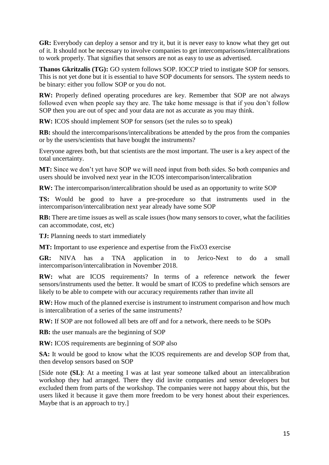**GR:** Everybody can deploy a sensor and try it, but it is never easy to know what they get out of it. It should not be necessary to involve companies to get intercomparisons/intercalibrations to work properly. That signifies that sensors are not as easy to use as advertised.

**Thanos Gkritzalis (TG):** GO system follows SOP. IOCCP tried to instigate SOP for sensors. This is not yet done but it is essential to have SOP documents for sensors. The system needs to be binary: either you follow SOP or you do not.

**RW:** Properly defined operating procedures are key. Remember that SOP are not always followed even when people say they are. The take home message is that if you don't follow SOP then you are out of spec and your data are not as accurate as you may think.

**RW:** ICOS should implement SOP for sensors (set the rules so to speak)

**RB:** should the intercomparisons/intercalibrations be attended by the pros from the companies or by the users/scientists that have bought the instruments?

Everyone agrees both, but that scientists are the most important. The user is a key aspect of the total uncertainty.

**MT:** Since we don't yet have SOP we will need input from both sides. So both companies and users should be involved next year in the ICOS intercomparison/intercalibration

**RW:** The intercomparison/intercalibration should be used as an opportunity to write SOP

**TS:** Would be good to have a pre-procedure so that instruments used in the intercomparison/intercalibration next year already have some SOP

**RB:** There are time issues as well as scale issues (how many sensors to cover, what the facilities can accommodate, cost, etc)

**TJ:** Planning needs to start immediately

**MT:** Important to use experience and expertise from the FixO3 exercise

**GR:** NIVA has a TNA application in to Jerico-Next to do a small intercomparison/intercalibration in November 2018.

**RW:** what are ICOS requirements? In terms of a reference network the fewer sensors/instruments used the better. It would be smart of ICOS to predefine which sensors are likely to be able to compete with our accuracy requirements rather than invite all

**RW:** How much of the planned exercise is instrument to instrument comparison and how much is intercalibration of a series of the same instruments?

**RW:** If SOP are not followed all bets are off and for a network, there needs to be SOPs

**RB:** the user manuals are the beginning of SOP

**RW:** ICOS requirements are beginning of SOP also

**SA:** It would be good to know what the ICOS requirements are and develop SOP from that, then develop sensors based on SOP

[Side note **(SL)**: At a meeting I was at last year someone talked about an intercalibration workshop they had arranged. There they did invite companies and sensor developers but excluded them from parts of the workshop. The companies were not happy about this, but the users liked it because it gave them more freedom to be very honest about their experiences. Maybe that is an approach to try.]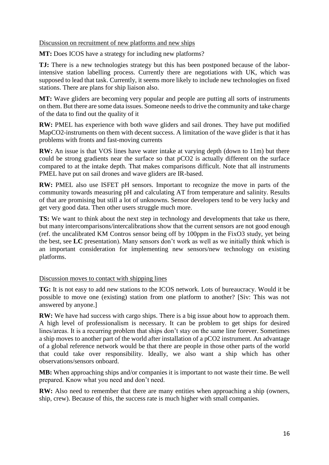#### Discussion on recruitment of new platforms and new ships

**MT:** Does ICOS have a strategy for including new platforms?

**TJ:** There is a new technologies strategy but this has been postponed because of the laborintensive station labelling process. Currently there are negotiations with UK, which was supposed to lead that task. Currently, it seems more likely to include new technologies on fixed stations. There are plans for ship liaison also.

**MT:** Wave gliders are becoming very popular and people are putting all sorts of instruments on them. But there are some data issues. Someone needs to drive the community and take charge of the data to find out the quality of it

**RW:** PMEL has experience with both wave gliders and sail drones. They have put modified MapCO2-instruments on them with decent success. A limitation of the wave glider is that it has problems with fronts and fast-moving currents

**RW:** An issue is that VOS lines have water intake at varying depth (down to 11m) but there could be strong gradients near the surface so that pCO2 is actually different on the surface compared to at the intake depth. That makes comparisons difficult. Note that all instruments PMEL have put on sail drones and wave gliders are IR-based.

**RW:** PMEL also use ISFET pH sensors. Important to recognize the move in parts of the community towards measuring pH and calculating AT from temperature and salinity. Results of that are promising but still a lot of unknowns. Sensor developers tend to be very lucky and get very good data. Then other users struggle much more.

**TS:** We want to think about the next step in technology and developments that take us there, but many intercomparisons/intercalibrations show that the current sensors are not good enough (ref. the uncalibrated KM Contros sensor being off by 100ppm in the FixO3 study, yet being the best, see **LC** presentation). Many sensors don't work as well as we initially think which is an important consideration for implementing new sensors/new technology on existing platforms.

#### Discussion moves to contact with shipping lines

**TG:** It is not easy to add new stations to the ICOS network. Lots of bureaucracy. Would it be possible to move one (existing) station from one platform to another? [Siv: This was not answered by anyone.]

**RW:** We have had success with cargo ships. There is a big issue about how to approach them. A high level of professionalism is necessary. It can be problem to get ships for desired lines/areas. It is a recurring problem that ships don't stay on the same line forever. Sometimes a ship moves to another part of the world after installation of a pCO2 instrument. An advantage of a global reference network would be that there are people in those other parts of the world that could take over responsibility. Ideally, we also want a ship which has other observations/sensors onboard.

**MB:** When approaching ships and/or companies it is important to not waste their time. Be well prepared. Know what you need and don't need.

**RW:** Also need to remember that there are many entities when approaching a ship (owners, ship, crew). Because of this, the success rate is much higher with small companies.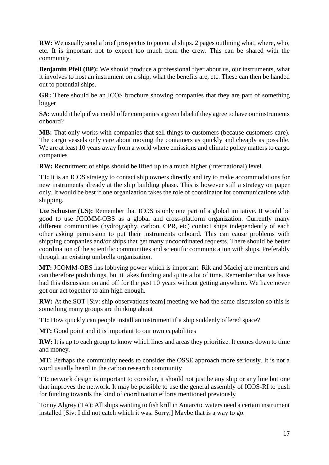**RW:** We usually send a brief prospectus to potential ships. 2 pages outlining what, where, who, etc. It is important not to expect too much from the crew. This can be shared with the community.

**Benjamin Pfeil (BP):** We should produce a professional flyer about us, our instruments, what it involves to host an instrument on a ship, what the benefits are, etc. These can then be handed out to potential ships.

**GR:** There should be an ICOS brochure showing companies that they are part of something bigger

**SA:** would it help if we could offer companies a green label if they agree to have our instruments onboard?

**MB:** That only works with companies that sell things to customers (because customers care). The cargo vessels only care about moving the containers as quickly and cheaply as possible. We are at least 10 years away from a world where emissions and climate policy matters to cargo companies

**RW:** Recruitment of ships should be lifted up to a much higher (international) level.

**TJ:** It is an ICOS strategy to contact ship owners directly and try to make accommodations for new instruments already at the ship building phase. This is however still a strategy on paper only. It would be best if one organization takes the role of coordinator for communications with shipping.

**Ute Schuster (US):** Remember that ICOS is only one part of a global initiative. It would be good to use JCOMM-OBS as a global and cross-platform organization. Currently many different communities (hydrography, carbon, CPR, etc) contact ships independently of each other asking permission to put their instruments onboard. This can cause problems with shipping companies and/or ships that get many uncoordinated requests. There should be better coordination of the scientific communities and scientific communication with ships. Preferably through an existing umbrella organization.

**MT:** JCOMM-OBS has lobbying power which is important. Rik and Maciej are members and can therefore push things, but it takes funding and quite a lot of time. Remember that we have had this discussion on and off for the past 10 years without getting anywhere. We have never got our act together to aim high enough.

**RW:** At the SOT [Siv: ship observations team] meeting we had the same discussion so this is something many groups are thinking about

**TJ:** How quickly can people install an instrument if a ship suddenly offered space?

**MT:** Good point and it is important to our own capabilities

**RW:** It is up to each group to know which lines and areas they prioritize. It comes down to time and money.

**MT:** Perhaps the community needs to consider the OSSE approach more seriously. It is not a word usually heard in the carbon research community

**TJ:** network design is important to consider, it should not just be any ship or any line but one that improves the network. It may be possible to use the general assembly of ICOS-RI to push for funding towards the kind of coordination efforts mentioned previously

Tonny Algrøy (TA): All ships wanting to fish krill in Antarctic waters need a certain instrument installed [Siv: I did not catch which it was. Sorry.] Maybe that is a way to go.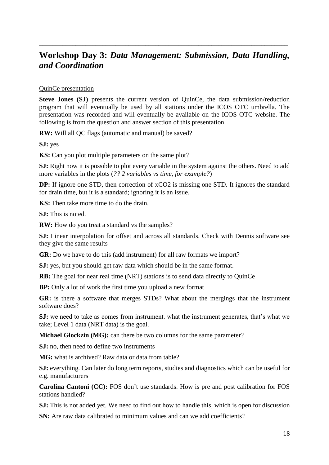### **Workshop Day 3:** *Data Management: Submission, Data Handling, and Coordination*

\_\_\_\_\_\_\_\_\_\_\_\_\_\_\_\_\_\_\_\_\_\_\_\_\_\_\_\_\_\_\_\_\_\_\_\_\_\_\_\_\_\_\_\_\_\_\_\_\_\_\_\_\_\_\_\_\_\_\_\_\_\_\_\_\_\_\_\_\_\_\_\_\_\_\_

#### QuinCe presentation

**Steve Jones (SJ)** presents the current version of QuinCe, the data submission/reduction program that will eventually be used by all stations under the ICOS OTC umbrella. The presentation was recorded and will eventually be available on the ICOS OTC website. The following is from the question and answer section of this presentation.

**RW:** Will all QC flags (automatic and manual) be saved?

**SJ:** yes

**KS:** Can you plot multiple parameters on the same plot?

**SJ:** Right now it is possible to plot every variable in the system against the others. Need to add more variables in the plots (*?? 2 variables vs time, for example?*)

**DP:** If ignore one STD, then correction of xCO2 is missing one STD. It ignores the standard for drain time, but it is a standard; ignoring it is an issue.

**KS:** Then take more time to do the drain.

**SJ:** This is noted.

**RW:** How do you treat a standard vs the samples?

**SJ:** Linear interpolation for offset and across all standards. Check with Dennis software see they give the same results

**GR:** Do we have to do this (add instrument) for all raw formats we import?

**SJ:** yes, but you should get raw data which should be in the same format.

**RB:** The goal for near real time (NRT) stations is to send data directly to QuinCe

**BP:** Only a lot of work the first time you upload a new format

**GR:** is there a software that merges STDs? What about the mergings that the instrument software does?

**SJ:** we need to take as comes from instrument. what the instrument generates, that's what we take; Level 1 data (NRT data) is the goal.

**Michael Glockzin (MG):** can there be two columns for the same parameter?

**SJ:** no, then need to define two instruments

MG: what is archived? Raw data or data from table?

**SJ:** everything. Can later do long term reports, studies and diagnostics which can be useful for e.g. manufacturers

**Carolina Cantoni (CC):** FOS don't use standards. How is pre and post calibration for FOS stations handled?

**SJ:** This is not added yet. We need to find out how to handle this, which is open for discussion

**SN:** Are raw data calibrated to minimum values and can we add coefficients?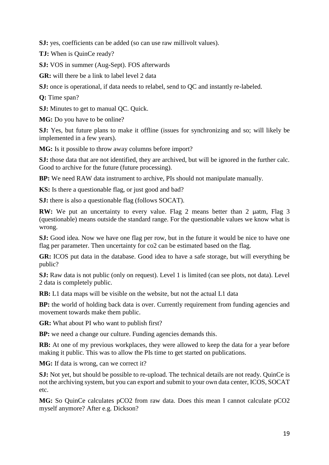**SJ:** yes, coefficients can be added (so can use raw millivolt values).

**TJ:** When is QuinCe ready?

**SJ:** VOS in summer (Aug-Sept). FOS afterwards

**GR:** will there be a link to label level 2 data

**SJ:** once is operational, if data needs to relabel, send to QC and instantly re-labeled.

**Q:** Time span?

**SJ:** Minutes to get to manual QC. Quick.

**MG:** Do you have to be online?

**SJ:** Yes, but future plans to make it offline (issues for synchronizing and so; will likely be implemented in a few years).

**MG:** Is it possible to throw away columns before import?

**SJ:** those data that are not identified, they are archived, but will be ignored in the further calc. Good to archive for the future (future processing).

**BP:** We need RAW data instrument to archive, PIs should not manipulate manually.

**KS:** Is there a questionable flag, or just good and bad?

**SJ:** there is also a questionable flag (follows SOCAT).

**RW:** We put an uncertainty to every value. Flag 2 means better than 2  $\mu$ atm, Flag 3 (questionable) means outside the standard range. For the questionable values we know what is wrong.

**SJ:** Good idea. Now we have one flag per row, but in the future it would be nice to have one flag per parameter. Then uncertainty for co2 can be estimated based on the flag.

**GR:** ICOS put data in the database. Good idea to have a safe storage, but will everything be public?

**SJ:** Raw data is not public (only on request). Level 1 is limited (can see plots, not data). Level 2 data is completely public.

**RB:** L1 data maps will be visible on the website, but not the actual L1 data

**BP:** the world of holding back data is over. Currently requirement from funding agencies and movement towards make them public.

**GR:** What about PI who want to publish first?

**BP:** we need a change our culture. Funding agencies demands this.

**RB:** At one of my previous workplaces, they were allowed to keep the data for a year before making it public. This was to allow the PIs time to get started on publications.

**MG:** If data is wrong, can we correct it?

**SJ:** Not yet, but should be possible to re-upload. The technical details are not ready. QuinCe is not the archiving system, but you can export and submit to your own data center, ICOS, SOCAT etc.

**MG:** So QuinCe calculates pCO2 from raw data. Does this mean I cannot calculate pCO2 myself anymore? After e.g. Dickson?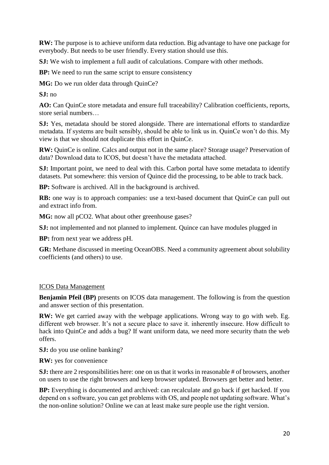**RW:** The purpose is to achieve uniform data reduction. Big advantage to have one package for everybody. But needs to be user friendly. Every station should use this.

**SJ:** We wish to implement a full audit of calculations. Compare with other methods.

**BP:** We need to run the same script to ensure consistency

**MG:** Do we run older data through QuinCe?

**SJ:** no

**AO:** Can QuinCe store metadata and ensure full traceability? Calibration coefficients, reports, store serial numbers…

**SJ:** Yes, metadata should be stored alongside. There are international efforts to standardize metadata. If systems are built sensibly, should be able to link us in. QuinCe won't do this. My view is that we should not duplicate this effort in QuinCe.

**RW:** QuinCe is online. Calcs and output not in the same place? Storage usage? Preservation of data? Download data to ICOS, but doesn't have the metadata attached.

**SJ:** Important point, we need to deal with this. Carbon portal have some metadata to identify datasets. Put somewhere: this version of Quince did the processing, to be able to track back.

**BP:** Software is archived. All in the background is archived.

**RB:** one way is to approach companies: use a text-based document that QuinCe can pull out and extract info from.

**MG:** now all pCO2. What about other greenhouse gases?

**SJ:** not implemented and not planned to implement. Quince can have modules plugged in

**BP:** from next year we address pH.

**GR:** Methane discussed in meeting OceanOBS. Need a community agreement about solubility coefficients (and others) to use.

#### ICOS Data Management

**Benjamin Pfeil (BP)** presents on ICOS data management. The following is from the question and answer section of this presentation.

**RW:** We get carried away with the webpage applications. Wrong way to go with web. Eg. different web browser. It's not a secure place to save it. inherently insecure. How difficult to hack into QuinCe and adds a bug? If want uniform data, we need more security thatn the web offers.

**SJ:** do you use online banking?

**RW:** yes for convenience

**SJ:** there are 2 responsibilities here: one on us that it works in reasonable # of browsers, another on users to use the right browsers and keep browser updated. Browsers get better and better.

**BP:** Everything is documented and archived: can recalculate and go back if get hacked. If you depend on s software, you can get problems with OS, and people not updating software. What's the non-online solution? Online we can at least make sure people use the right version.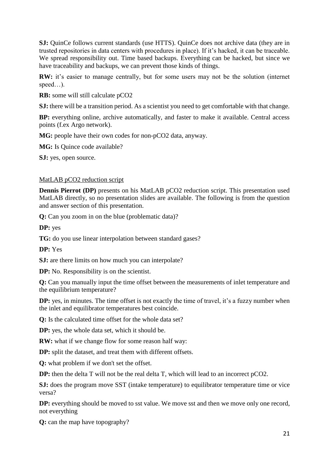**SJ:** QuinCe follows current standards (use HTTS). QuinCe does not archive data (they are in trusted repositories in data centers with procedures in place). If it's hacked, it can be traceable. We spread responsibility out. Time based backups. Everything can be hacked, but since we have traceability and backups, we can prevent those kinds of things.

**RW:** it's easier to manage centrally, but for some users may not be the solution (internet speed…).

**RB:** some will still calculate pCO2

**SJ:** there will be a transition period. As a scientist you need to get comfortable with that change.

**BP:** everything online, archive automatically, and faster to make it available. Central access points (f.ex Argo network).

**MG:** people have their own codes for non-pCO2 data, anyway.

**MG:** Is Quince code available?

**SJ:** yes, open source.

#### MatLAB pCO2 reduction script

**Dennis Pierrot** (DP) presents on his MatLAB pCO2 reduction script. This presentation used MatLAB directly, so no presentation slides are available. The following is from the question and answer section of this presentation.

**Q:** Can you zoom in on the blue (problematic data)?

**DP:** yes

**TG:** do you use linear interpolation between standard gases?

**DP:** Yes

**SJ:** are there limits on how much you can interpolate?

**DP:** No. Responsibility is on the scientist.

**Q:** Can you manually input the time offset between the measurements of inlet temperature and the equilibrium temperature?

**DP:** yes, in minutes. The time offset is not exactly the time of travel, it's a fuzzy number when the inlet and equilibrator temperatures best coincide.

**Q:** Is the calculated time offset for the whole data set?

**DP:** yes, the whole data set, which it should be.

**RW:** what if we change flow for some reason half way:

**DP:** split the dataset, and treat them with different offsets.

**Q:** what problem if we don't set the offset.

**DP:** then the delta T will not be the real delta T, which will lead to an incorrect pCO2.

**SJ:** does the program move SST (intake temperature) to equilibrator temperature time or vice versa?

**DP:** everything should be moved to sst value. We move sst and then we move only one record, not everything

**Q:** can the map have topography?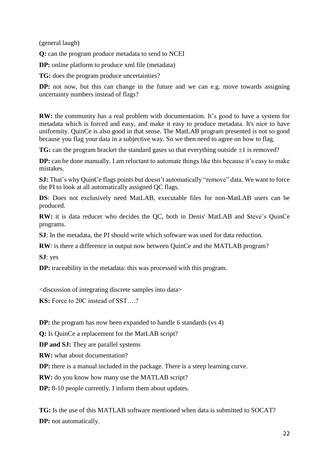(general laugh)

**Q:** can the program produce metadata to send to NCEI

**DP:** online platform to produce xml file (metadata)

**TG:** does the program produce uncertainties?

**DP:** not now, but this can change in the future and we can e.g. move towards assigning uncertainty numbers instead of flags?

**RW:** the community has a real problem with documentation. It's good to have a system for metadata which is forced and easy, and make it easy to produce metadata. It's nice to have uniformity. QuinCe is also good in that sense. The MatLAB program presented is not so good because you flag your data in a subjective way. So we then need to agree on how to flag.

**TG:** can the program bracket the standard gases so that everything outside  $\pm 1$  is removed?

**DP:** can be done manually. I am reluctant to automate things like this because it's easy to make mistakes.

**SJ:** That's why QuinCe flags points but doesn't automatically "remove" data. We want to force the PI to look at all automatically assigned QC flags.

**DS**: Does not exclusively need MatLAB, executable files for non-MatLAB users can be produced.

**RW:** it is data reducer who decides the QC, both in Denis' MatLAB and Steve's QuinCe programs.

**SJ:** In the metadata, the PI should write which software was used for data reduction.

**RW**: is there a difference in output now between QuinCe and the MATLAB program?

**SJ**: yes

**DP:** traceability in the metadata: this was processed with this program.

<discussion of integrating discrete samples into data>

**KS:** Force to 20C instead of SST….?

**DP:** the program has now been expanded to handle 6 standards (vs 4)

**Q:** Is QuinCe a replacement for the MatLAB script?

**DP and SJ:** They are parallel systems

**RW:** what about documentation?

**DP:** there is a manual included in the package. There is a steep learning curve.

**RW:** do you know how many use the MATLAB script?

**DP:** 8-10 people currently. I inform them about updates.

**TG:** Is the use of this MATLAB software mentioned when data is submitted to SOCAT? **DP:** not automatically.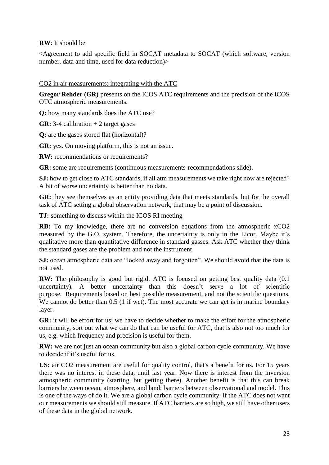#### **RW**: It should be

<Agreement to add specific field in SOCAT metadata to SOCAT (which software, version number, data and time, used for data reduction)>

#### CO2 in air measurements; integrating with the ATC

**Gregor Rehder (GR)** presents on the ICOS ATC requirements and the precision of the ICOS OTC atmospheric measurements.

**Q:** how many standards does the ATC use?

**GR:** 3-4 calibration + 2 target gases

**Q:** are the gases stored flat (horizontal)?

**GR:** yes. On moving platform, this is not an issue.

**RW:** recommendations or requirements?

**GR:** some are requirements (continuous measurements-recommendations slide).

**SJ:** how to get close to ATC standards, if all atm measurements we take right now are rejected? A bit of worse uncertainty is better than no data.

**GR:** they see themselves as an entity providing data that meets standards, but for the overall task of ATC setting a global observation network, that may be a point of discussion.

**TJ:** something to discuss within the ICOS RI meeting

**RB:** To my knowledge, there are no conversion equations from the atmospheric xCO2 measured by the G.O. system. Therefore, the uncertainty is only in the Licor. Maybe it's qualitative more than quantitative difference in standard gasses. Ask ATC whether they think the standard gases are the problem and not the instrument

**SJ:** ocean atmospheric data are "locked away and forgotten". We should avoid that the data is not used.

**RW:** The philosophy is good but rigid. ATC is focused on getting best quality data (0.1) uncertainty). A better uncertainty than this doesn't serve a lot of scientific purpose. Requirements based on best possible measurement, and not the scientific questions. We cannot do better than 0.5 (1 if wet). The most accurate we can get is in marine boundary layer.

**GR:** it will be effort for us; we have to decide whether to make the effort for the atmospheric community, sort out what we can do that can be useful for ATC, that is also not too much for us, e.g. which frequency and precision is useful for them.

**RW:** we are not just an ocean community but also a global carbon cycle community. We have to decide if it's useful for us.

**US:** air CO2 measurement are useful for quality control, that's a benefit for us. For 15 years there was no interest in these data, until last year. Now there is interest from the inversion atmospheric community (starting, but getting there). Another benefit is that this can break barriers between ocean, atmosphere, and land; barriers between observational and model. This is one of the ways of do it. We are a global carbon cycle community. If the ATC does not want our measurements we should still measure. If ATC barriers are so high, we still have other users of these data in the global network.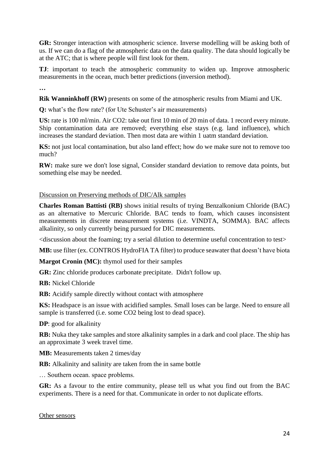**GR:** Stronger interaction with atmospheric science. Inverse modelling will be asking both of us. If we can do a flag of the atmospheric data on the data quality. The data should logically be at the ATC; that is where people will first look for them.

**TJ**: important to teach the atmospheric community to widen up. Improve atmospheric measurements in the ocean, much better predictions (inversion method).

**…**

**Rik Wanninkhoff (RW)** presents on some of the atmospheric results from Miami and UK.

**Q:** what's the flow rate? (for Ute Schuster's air measurements)

**US:** rate is 100 ml/min. Air CO2: take out first 10 min of 20 min of data. 1 record every minute. Ship contamination data are removed; everything else stays (e.g. land influence), which increases the standard deviation. Then most data are within 1 uatm standard deviation.

**KS:** not just local contamination, but also land effect; how do we make sure not to remove too much?

**RW:** make sure we don't lose signal, Consider standard deviation to remove data points, but something else may be needed.

#### Discussion on Preserving methods of DIC/Alk samples

**Charles Roman Battisti (RB)** shows initial results of trying Benzalkonium Chloride (BAC) as an alternative to Mercuric Chloride. BAC tends to foam, which causes inconsistent measurements in discrete measurement systems (i.e. VINDTA, SOMMA). BAC affects alkalinity, so only currently being pursued for DIC measurements.

<discussion about the foaming; try a serial dilution to determine useful concentration to test>

**MB:** use filter (ex. CONTROS HydroFIA TA filter) to produce seawater that doesn't have biota

**Margot Cronin (MC):** thymol used for their samples

**GR:** Zinc chloride produces carbonate precipitate. Didn't follow up.

**RB:** Nickel Chloride

**RB:** Acidify sample directly without contact with atmosphere

**KS:** Headspace is an issue with acidified samples. Small loses can be large. Need to ensure all sample is transferred (i.e. some CO2 being lost to dead space).

**DP**: good for alkalinity

**RB:** Nuka they take samples and store alkalinity samples in a dark and cool place. The ship has an approximate 3 week travel time.

**MB:** Measurements taken 2 times/day

**RB:** Alkalinity and salinity are taken from the in same bottle

… Southern ocean. space problems.

**GR:** As a favour to the entire community, please tell us what you find out from the BAC experiments. There is a need for that. Communicate in order to not duplicate efforts.

Other sensors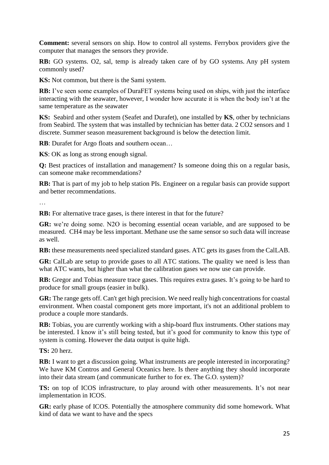**Comment:** several sensors on ship. How to control all systems. Ferrybox providers give the computer that manages the sensors they provide.

**RB:** GO systems. O2, sal, temp is already taken care of by GO systems. Any pH system commonly used?

**KS:** Not common, but there is the Sami system.

**RB:** I've seen some examples of DuraFET systems being used on ships, with just the interface interacting with the seawater, however, I wonder how accurate it is when the body isn't at the same temperature as the seawater

**KS:** Seabird and other system (Seafet and Durafet), one installed by **KS**, other by technicians from Seabird. The system that was installed by technician has better data. 2 CO2 sensors and 1 discrete. Summer season measurement background is below the detection limit.

**RB**: Durafet for Argo floats and southern ocean…

**KS**: OK as long as strong enough signal.

**Q:** Best practices of installation and management? Is someone doing this on a regular basis, can someone make recommendations?

**RB:** That is part of my job to help station PIs. Engineer on a regular basis can provide support and better recommendations.

…

**RB:** For alternative trace gases, is there interest in that for the future?

**GR:** we're doing some. N2O is becoming essential ocean variable, and are supposed to be measured. CH4 may be less important. Methane use the same sensor so such data will increase as well.

**RB:** these measurements need specialized standard gases. ATC gets its gases from the CalLAB.

**GR:** CalLab are setup to provide gases to all ATC stations. The quality we need is less than what ATC wants, but higher than what the calibration gases we now use can provide.

**RB:** Gregor and Tobias measure trace gases. This requires extra gases. It's going to be hard to produce for small groups (easier in bulk).

**GR:** The range gets off. Can't get high precision. We need really high concentrations for coastal environment. When coastal component gets more important, it's not an additional problem to produce a couple more standards.

**RB:** Tobias, you are currently working with a ship-board flux instruments. Other stations may be interested. I know it's still being tested, but it's good for community to know this type of system is coming. However the data output is quite high.

**TS:** 20 herz.

**RB:** I want to get a discussion going. What instruments are people interested in incorporating? We have KM Contros and General Oceanics here. Is there anything they should incorporate into their data stream (and communicate further to for ex. The G.O. system)?

**TS:** on top of ICOS infrastructure, to play around with other measurements. It's not near implementation in ICOS.

**GR:** early phase of ICOS. Potentially the atmosphere community did some homework. What kind of data we want to have and the specs